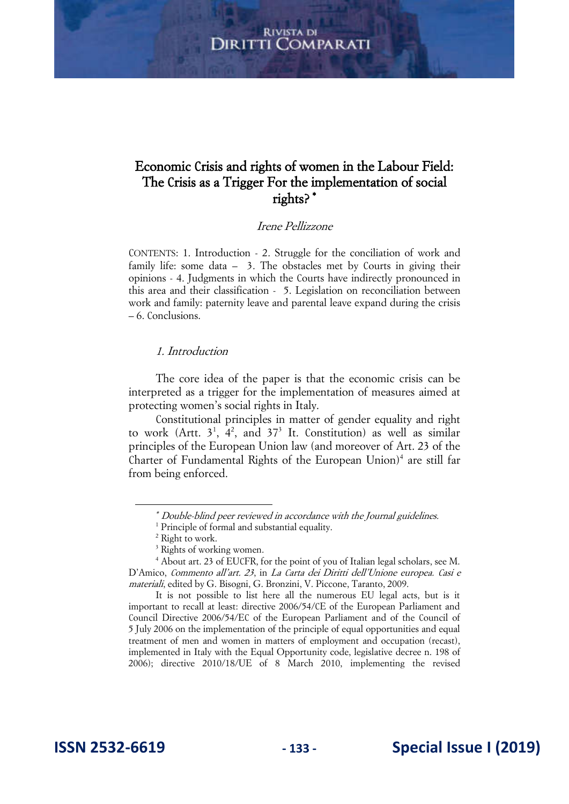# Economic Crisis and rights of women in the Labour Field: The Crisis as a Trigger For the implementation of social rights?

## Irene Pellizzone

CONTENTS: 1. Introduction - 2. Struggle for the conciliation of work and family life: some data – 3. The obstacles met by Courts in giving their opinions - 4. Judgments in which the Courts have indirectly pronounced in this area and their classification - 5. Legislation on reconciliation between work and family: paternity leave and parental leave expand during the crisis – 6. Conclusions.

#### 1. Introduction

The core idea of the paper is that the economic crisis can be interpreted as a trigger for the implementation of measures aimed at protecting women's social rights in Italy.

Constitutional principles in matter of gender equality and right to work (Artt.  $3^1$ ,  $4^2$ , and  $37^3$  It. Constitution) as well as similar principles of the European Union law (and moreover of Art. 23 of the Charter of Fundamental Rights of the European Union)<sup>4</sup> are still far from being enforced.

It is not possible to list here all the numerous EU legal acts, but is it important to recall at least: directive 2006/54/CE of the European Parliament and Council Directive 2006/54/EC of the European Parliament and of the Council of 5 July 2006 on the implementation of the principle of equal opportunities and equal treatment of men and women in matters of employment and occupation (recast), implemented in Italy with the Equal Opportunity code, legislative decree n. 198 of 2006); directive 2010/18/UE of 8 March 2010, implementing the revised

 Double-blind peer reviewed in accordance with the Journal guidelines.

<sup>&</sup>lt;sup>1</sup> Principle of formal and substantial equality.

<sup>2</sup> Right to work.

<sup>3</sup> Rights of working women.

<sup>4</sup> About art. 23 of EUCFR, for the point of you of Italian legal scholars, see M. D'Amico, Commento all'art. 23, in La Carta dei Diritti dell'Unione europea. Casi e materiali, edited by G. Bisogni, G. Bronzini, V. Piccone, Taranto, 2009.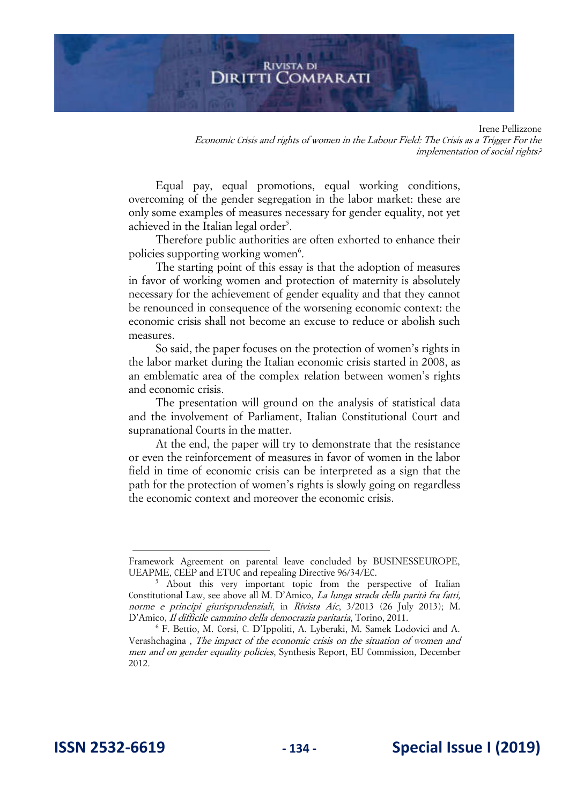Irene Pellizzone Economic Crisis and rights of women in the Labour Field: The Crisis as a Trigger For the implementation of social rights?

Equal pay, equal promotions, equal working conditions, overcoming of the gender segregation in the labor market: these are only some examples of measures necessary for gender equality, not yet achieved in the Italian legal order<sup>5</sup>.

Therefore public authorities are often exhorted to enhance their policies supporting working women<sup>6</sup>.

The starting point of this essay is that the adoption of measures in favor of working women and protection of maternity is absolutely necessary for the achievement of gender equality and that they cannot be renounced in consequence of the worsening economic context: the economic crisis shall not become an excuse to reduce or abolish such measures.

So said, the paper focuses on the protection of women's rights in the labor market during the Italian economic crisis started in 2008, as an emblematic area of the complex relation between women's rights and economic crisis.

The presentation will ground on the analysis of statistical data and the involvement of Parliament, Italian Constitutional Court and supranational Courts in the matter.

At the end, the paper will try to demonstrate that the resistance or even the reinforcement of measures in favor of women in the labor field in time of economic crisis can be interpreted as a sign that the path for the protection of women's rights is slowly going on regardless the economic context and moreover the economic crisis.

Framework Agreement on parental leave concluded by BUSINESSEUROPE, UEAPME, CEEP and ETUC and repealing Directive 96/34/EC.

<sup>&</sup>lt;sup>5</sup> About this very important topic from the perspective of Italian Constitutional Law, see above all M. D'Amico, La lunga strada della parità fra fatti, norme e principi giurisprudenziali, in Rivista Aic, 3/2013 (26 July 2013); M. D'Amico, Il difficile cammino della democrazia paritaria, Torino, 2011.

<sup>6</sup> F. Bettio, M. Corsi, C. D'Ippoliti, A. Lyberaki, M. Samek Lodovici and A. Verashchagina , The impact of the economic crisis on the situation of women and men and on gender equality policies, Synthesis Report, EU Commission, December 2012.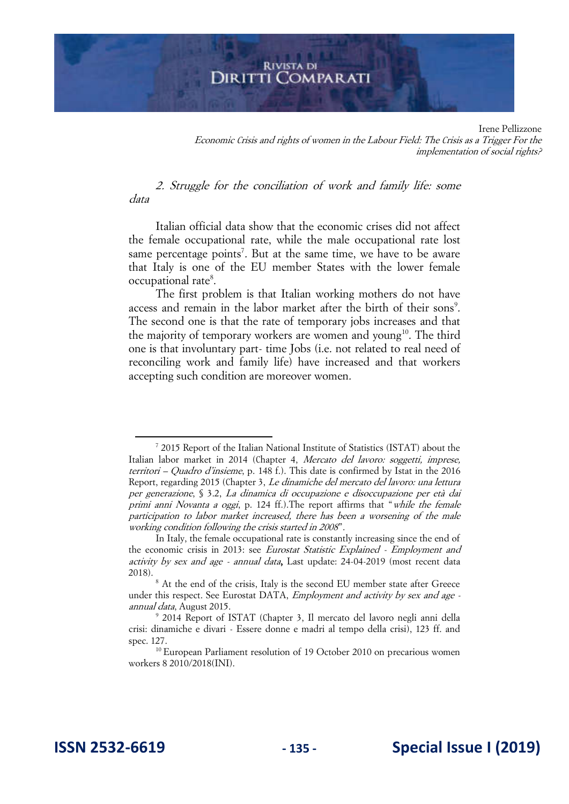Irene Pellizzone Economic Crisis and rights of women in the Labour Field: The Crisis as a Trigger For the implementation of social rights?

2. Struggle for the conciliation of work and family life: some data

Italian official data show that the economic crises did not affect the female occupational rate, while the male occupational rate lost same percentage points<sup>7</sup>. But at the same time, we have to be aware that Italy is one of the EU member States with the lower female occupational rate<sup>8</sup>.

The first problem is that Italian working mothers do not have access and remain in the labor market after the birth of their sons<sup>9</sup>. The second one is that the rate of temporary jobs increases and that the majority of temporary workers are women and young<sup>10</sup>. The third one is that involuntary part- time Jobs (i.e. not related to real need of reconciling work and family life) have increased and that workers accepting such condition are moreover women.

<sup>&</sup>lt;sup>7</sup> 2015 Report of the Italian National Institute of Statistics (ISTAT) about the Italian labor market in 2014 (Chapter 4, Mercato del lavoro: soggetti, imprese, territori – Quadro d'insieme, p. 148 f.). This date is confirmed by Istat in the 2016 Report, regarding 2015 (Chapter 3, Le dinamiche del mercato del lavoro: una lettura per generazione, § 3.2, La dinamica di occupazione e disoccupazione per età dai primi anni Novanta a oggi, p. 124 ff.).The report affirms that "while the female participation to labor market increased, there has been a worsening of the male working condition following the crisis started in 2008".

In Italy, the female occupational rate is constantly increasing since the end of the economic crisis in 2013: see Eurostat Statistic Explained - Employment and activity by sex and age - annual data, Last update: 24-04-2019 (most recent data 2018).

<sup>&</sup>lt;sup>8</sup> At the end of the crisis, Italy is the second EU member state after Greece under this respect. See Eurostat DATA, *Employment and activity by sex and age* annual data, August 2015.

<sup>9</sup> 2014 Report of ISTAT (Chapter 3, Il mercato del lavoro negli anni della crisi: dinamiche e divari - Essere donne e madri al tempo della crisi), 123 ff. and spec. 127.

<sup>&</sup>lt;sup>10</sup> European Parliament resolution of 19 October 2010 on precarious women workers 8 2010/2018(INI).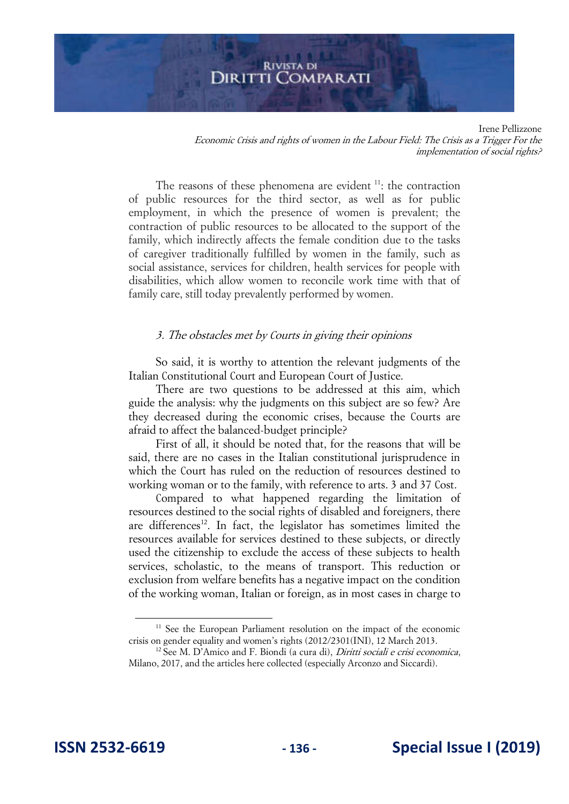Irene Pellizzone Economic Crisis and rights of women in the Labour Field: The Crisis as a Trigger For the implementation of social rights?

The reasons of these phenomena are evident  $11$ : the contraction of public resources for the third sector, as well as for public employment, in which the presence of women is prevalent; the contraction of public resources to be allocated to the support of the family, which indirectly affects the female condition due to the tasks of caregiver traditionally fulfilled by women in the family, such as social assistance, services for children, health services for people with disabilities, which allow women to reconcile work time with that of family care, still today prevalently performed by women.

#### 3. The obstacles met by Courts in giving their opinions

So said, it is worthy to attention the relevant judgments of the Italian Constitutional Court and European Court of Justice.

There are two questions to be addressed at this aim, which guide the analysis: why the judgments on this subject are so few? Are they decreased during the economic crises, because the Courts are afraid to affect the balanced-budget principle?

First of all, it should be noted that, for the reasons that will be said, there are no cases in the Italian constitutional jurisprudence in which the Court has ruled on the reduction of resources destined to working woman or to the family, with reference to arts. 3 and 37 Cost.

Compared to what happened regarding the limitation of resources destined to the social rights of disabled and foreigners, there are differences<sup>12</sup>. In fact, the legislator has sometimes limited the resources available for services destined to these subjects, or directly used the citizenship to exclude the access of these subjects to health services, scholastic, to the means of transport. This reduction or exclusion from welfare benefits has a negative impact on the condition of the working woman, Italian or foreign, as in most cases in charge to

<sup>&</sup>lt;sup>11</sup> See the European Parliament resolution on the impact of the economic crisis on gender equality and women's rights ([2012/2301\(INI\),](http://www.europarl.europa.eu/oeil/popups/ficheprocedure.do?lang=en&reference=2012/2301(INI)) 12 March 2013.

<sup>&</sup>lt;sup>12</sup> See M. D'Amico and F. Biondi (a cura di), *Diritti sociali e crisi economica*, Milano, 2017, and the articles here collected (especially Arconzo and Siccardi).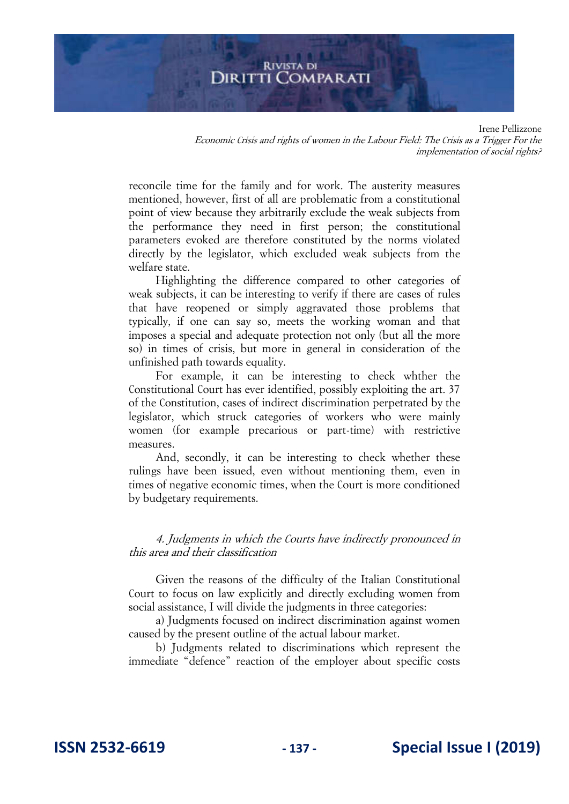# **RIVISTA DI** DIRITTI COMPARATI

Irene Pellizzone Economic Crisis and rights of women in the Labour Field: The Crisis as a Trigger For the implementation of social rights?

reconcile time for the family and for work. The austerity measures mentioned, however, first of all are problematic from a constitutional point of view because they arbitrarily exclude the weak subjects from the performance they need in first person; the constitutional parameters evoked are therefore constituted by the norms violated directly by the legislator, which excluded weak subjects from the welfare state.

Highlighting the difference compared to other categories of weak subjects, it can be interesting to verify if there are cases of rules that have reopened or simply aggravated those problems that typically, if one can say so, meets the working woman and that imposes a special and adequate protection not only (but all the more so) in times of crisis, but more in general in consideration of the unfinished path towards equality.

For example, it can be interesting to check whther the Constitutional Court has ever identified, possibly exploiting the art. 37 of the Constitution, cases of indirect discrimination perpetrated by the legislator, which struck categories of workers who were mainly women (for example precarious or part-time) with restrictive measures.

And, secondly, it can be interesting to check whether these rulings have been issued, even without mentioning them, even in times of negative economic times, when the Court is more conditioned by budgetary requirements.

4. Judgments in which the Courts have indirectly pronounced in this area and their classification

Given the reasons of the difficulty of the Italian Constitutional Court to focus on law explicitly and directly excluding women from social assistance, I will divide the judgments in three categories:

a) Judgments focused on indirect discrimination against women caused by the present outline of the actual labour market.

b) Judgments related to discriminations which represent the immediate "defence" reaction of the employer about specific costs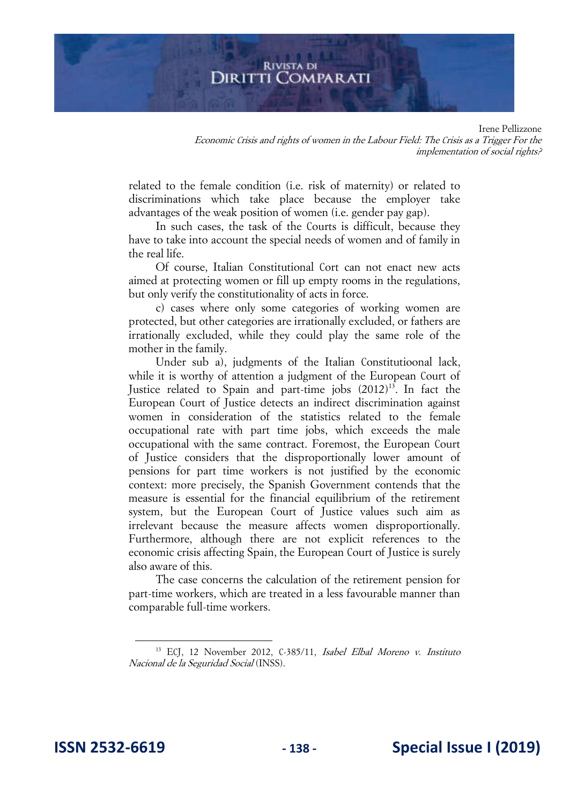#### **RIVISTA DI** DIRITTI COMPARATI

Irene Pellizzone Economic Crisis and rights of women in the Labour Field: The Crisis as a Trigger For the implementation of social rights?

related to the female condition (i.e. risk of maternity) or related to discriminations which take place because the employer take advantages of the weak position of women (i.e. gender pay gap).

In such cases, the task of the Courts is difficult, because they have to take into account the special needs of women and of family in the real life.

Of course, Italian Constitutional Cort can not enact new acts aimed at protecting women or fill up empty rooms in the regulations, but only verify the constitutionality of acts in force.

c) cases where only some categories of working women are protected, but other categories are irrationally excluded, or fathers are irrationally excluded, while they could play the same role of the mother in the family.

Under sub a), judgments of the Italian Constitutioonal lack, while it is worthy of attention a judgment of the European Court of Justice related to Spain and part-time jobs (2012)<sup>13</sup>. In fact the European Court of Justice detects an indirect discrimination against women in consideration of the statistics related to the female occupational rate with part time jobs, which exceeds the male occupational with the same contract. Foremost, the European Court of Justice considers that the disproportionally lower amount of pensions for part time workers is not justified by the economic context: more precisely, the Spanish Government contends that the measure is essential for the financial equilibrium of the retirement system, but the European Court of Justice values such aim as irrelevant because the measure affects women disproportionally. Furthermore, although there are not explicit references to the economic crisis affecting Spain, the European Court of Justice is surely also aware of this.

The case concerns the calculation of the retirement pension for part-time workers, which are treated in a less favourable manner than comparable full-time workers.

<sup>&</sup>lt;sup>13</sup> ECJ, 12 November 2012, C-385/11, Isabel Elbal Moreno v. Instituto Nacional de la Seguridad Social (INSS).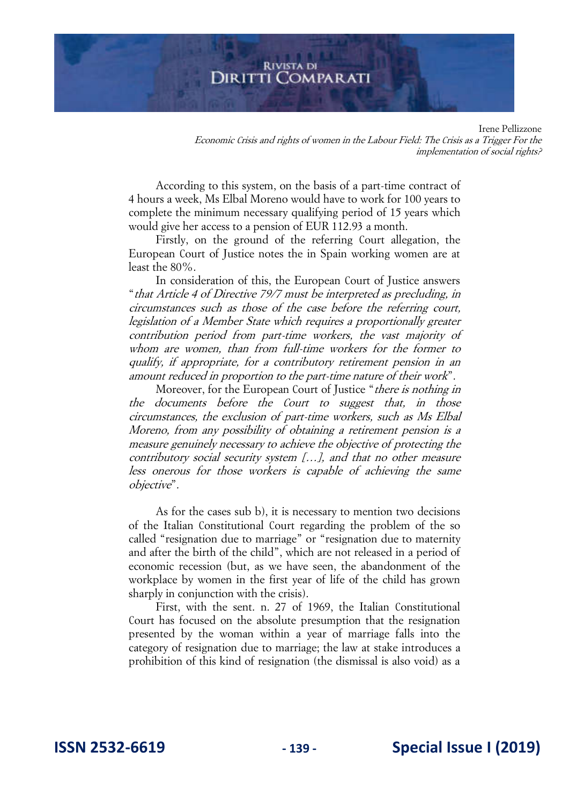#### **RIVISTA DI** DIRITTI COMPARATI

Irene Pellizzone Economic Crisis and rights of women in the Labour Field: The Crisis as a Trigger For the implementation of social rights?

According to this system, on the basis of a part-time contract of 4 hours a week, Ms Elbal Moreno would have to work for 100 years to complete the minimum necessary qualifying period of 15 years which would give her access to a pension of EUR 112.93 a month.

Firstly, on the ground of the referring Court allegation, the European Court of Justice notes the in Spain working women are at least the 80%.

In consideration of this, the European Court of Justice answers "that Article 4 of Directive 79/7 must be interpreted as precluding, in circumstances such as those of the case before the referring court, legislation of a Member State which requires a proportionally greater contribution period from part-time workers, the vast majority of whom are women, than from full-time workers for the former to qualify, if appropriate, for a contributory retirement pension in an amount reduced in proportion to the part-time nature of their work".

Moreover, for the European Court of Justice "*there is nothing in* the documents before the Court to suggest that, in those circumstances, the exclusion of part-time workers, such as Ms Elbal Moreno, from any possibility of obtaining a retirement pension is a measure genuinely necessary to achieve the objective of protecting the contributory social security system […], and that no other measure less onerous for those workers is capable of achieving the same objective".

As for the cases sub b), it is necessary to mention two decisions of the Italian Constitutional Court regarding the problem of the so called "resignation due to marriage" or "resignation due to maternity and after the birth of the child", which are not released in a period of economic recession (but, as we have seen, the abandonment of the workplace by women in the first year of life of the child has grown sharply in conjunction with the crisis).

First, with the sent. n. 27 of 1969, the Italian Constitutional Court has focused on the absolute presumption that the resignation presented by the woman within a year of marriage falls into the category of resignation due to marriage; the law at stake introduces a prohibition of this kind of resignation (the dismissal is also void) as a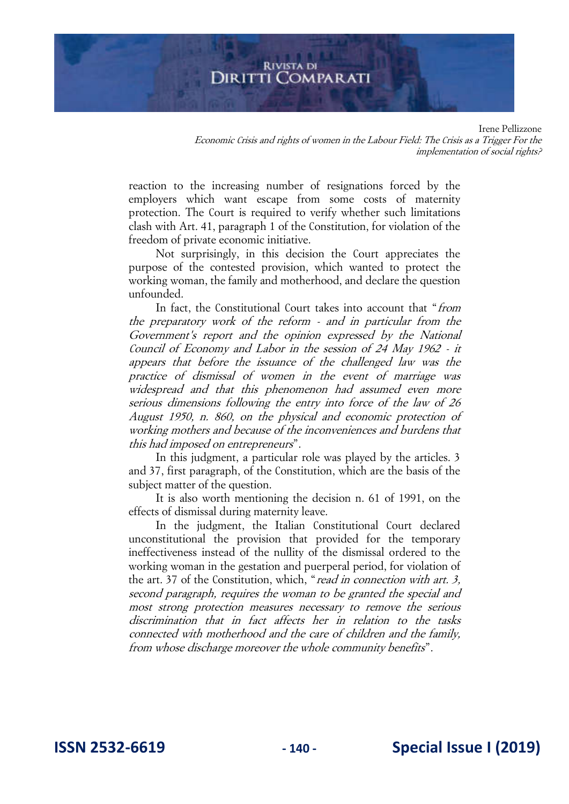Irene Pellizzone Economic Crisis and rights of women in the Labour Field: The Crisis as a Trigger For the implementation of social rights?

reaction to the increasing number of resignations forced by the employers which want escape from some costs of maternity protection. The Court is required to verify whether such limitations clash with Art. 41, paragraph 1 of the Constitution, for violation of the freedom of private economic initiative.

Not surprisingly, in this decision the Court appreciates the purpose of the contested provision, which wanted to protect the working woman, the family and motherhood, and declare the question unfounded.

In fact, the Constitutional Court takes into account that "from the preparatory work of the reform - and in particular from the Government's report and the opinion expressed by the National Council of Economy and Labor in the session of 24 May 1962 - it appears that before the issuance of the challenged law was the practice of dismissal of women in the event of marriage was widespread and that this phenomenon had assumed even more serious dimensions following the entry into force of the law of 26 August 1950, n. 860, on the physical and economic protection of working mothers and because of the inconveniences and burdens that this had imposed on entrepreneurs".

In this judgment, a particular role was played by the articles. 3 and 37, first paragraph, of the Constitution, which are the basis of the subject matter of the question.

It is also worth mentioning the decision n. 61 of 1991, on the effects of dismissal during maternity leave.

In the judgment, the Italian Constitutional Court declared unconstitutional the provision that provided for the temporary ineffectiveness instead of the nullity of the dismissal ordered to the working woman in the gestation and puerperal period, for violation of the art. 37 of the Constitution, which, "read in connection with art. 3, second paragraph, requires the woman to be granted the special and most strong protection measures necessary to remove the serious discrimination that in fact affects her in relation to the tasks connected with motherhood and the care of children and the family, from whose discharge moreover the whole community benefits".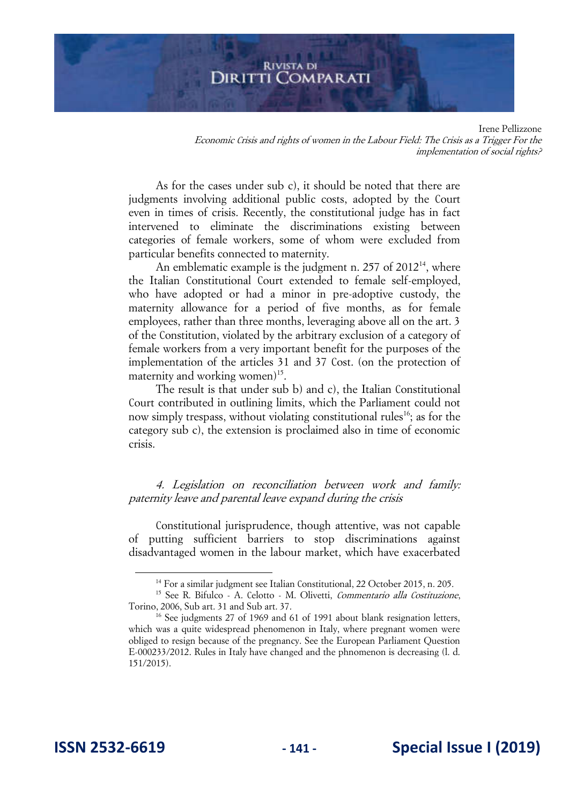Irene Pellizzone Economic Crisis and rights of women in the Labour Field: The Crisis as a Trigger For the implementation of social rights?

As for the cases under sub c), it should be noted that there are judgments involving additional public costs, adopted by the Court even in times of crisis. Recently, the constitutional judge has in fact intervened to eliminate the discriminations existing between categories of female workers, some of whom were excluded from particular benefits connected to maternity.

An emblematic example is the judgment n.  $257$  of  $2012^{14}$ , where the Italian Constitutional Court extended to female self-employed, who have adopted or had a minor in pre-adoptive custody, the maternity allowance for a period of five months, as for female employees, rather than three months, leveraging above all on the art. 3 of the Constitution, violated by the arbitrary exclusion of a category of female workers from a very important benefit for the purposes of the implementation of the articles 31 and 37 Cost. (on the protection of maternity and working women)<sup>15</sup>.

The result is that under sub b) and c), the Italian Constitutional Court contributed in outlining limits, which the Parliament could not now simply trespass, without violating constitutional rules<sup>16</sup>; as for the category sub c), the extension is proclaimed also in time of economic crisis.

4. Legislation on reconciliation between work and family: paternity leave and parental leave expand during the crisis

Constitutional jurisprudence, though attentive, was not capable of putting sufficient barriers to stop discriminations against disadvantaged women in the labour market, which have exacerbated

<sup>&</sup>lt;sup>14</sup> For a similar judgment see Italian Constitutional, 22 October 2015, n. 205.

<sup>&</sup>lt;sup>15</sup> See R. Bifulco - A. Celotto - M. Olivetti, Commentario alla Costituzione, Torino, 2006, Sub art. 31 and Sub art. 37.

<sup>&</sup>lt;sup>16</sup> See judgments 27 of 1969 and 61 of 1991 about blank resignation letters, which was a quite widespread phenomenon in Italy, where pregnant women were obliged to resign because of the pregnancy. See the European Parliament Question E-000233/2012. Rules in Italy have changed and the phnomenon is decreasing (l. d. 151/2015).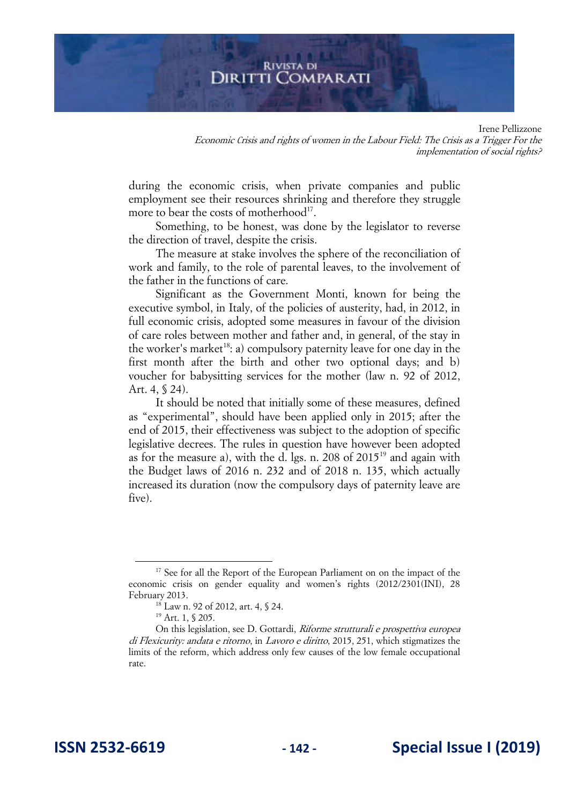Irene Pellizzone Economic Crisis and rights of women in the Labour Field: The Crisis as a Trigger For the implementation of social rights?

during the economic crisis, when private companies and public employment see their resources shrinking and therefore they struggle more to bear the costs of motherhood<sup>17</sup>.

Something, to be honest, was done by the legislator to reverse the direction of travel, despite the crisis.

The measure at stake involves the sphere of the reconciliation of work and family, to the role of parental leaves, to the involvement of the father in the functions of care.

Significant as the Government Monti, known for being the executive symbol, in Italy, of the policies of austerity, had, in 2012, in full economic crisis, adopted some measures in favour of the division of care roles between mother and father and, in general, of the stay in the worker's market<sup>18</sup>: a) compulsory paternity leave for one day in the first month after the birth and other two optional days; and b) voucher for babysitting services for the mother (law n. 92 of 2012, Art. 4, § 24).

It should be noted that initially some of these measures, defined as "experimental", should have been applied only in 2015; after the end of 2015, their effectiveness was subject to the adoption of specific legislative decrees. The rules in question have however been adopted as for the measure a), with the d. lgs. n. 208 of  $2015<sup>19</sup>$  and again with the Budget laws of 2016 n. 232 and of 2018 n. 135, which actually increased its duration (now the compulsory days of paternity leave are five).

<sup>&</sup>lt;sup>17</sup> See for all the Report of the European Parliament on on the impact of the economic crisis on gender equality and women's rights (2012/2301(INI), 28 February 2013.

<sup>&</sup>lt;sup>18</sup> Law n. 92 of 2012, art. 4, § 24.

<sup>19</sup> Art. 1, § 205.

On this legislation, see D. Gottardi, Riforme strutturali e prospettiva europea di Flexicurity: andata e ritorno, in Lavoro e diritto, 2015, 251, which stigmatizes the limits of the reform, which address only few causes of the low female occupational rate.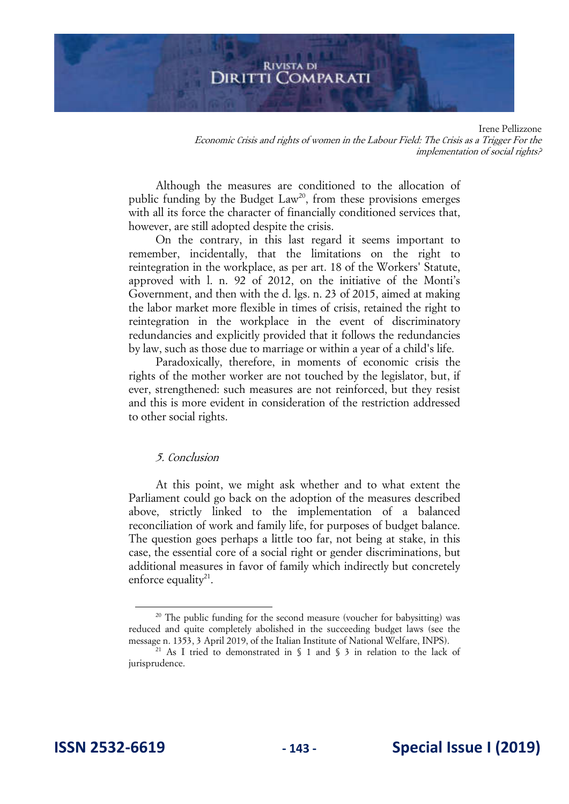Irene Pellizzone Economic Crisis and rights of women in the Labour Field: The Crisis as a Trigger For the implementation of social rights?

Although the measures are conditioned to the allocation of public funding by the Budget  $Law^{20}$ , from these provisions emerges with all its force the character of financially conditioned services that, however, are still adopted despite the crisis.

On the contrary, in this last regard it seems important to remember, incidentally, that the limitations on the right to reintegration in the workplace, as per art. 18 of the Workers' Statute, approved with l. n. 92 of 2012, on the initiative of the Monti's Government, and then with the d. lgs. n. 23 of 2015, aimed at making the labor market more flexible in times of crisis, retained the right to reintegration in the workplace in the event of discriminatory redundancies and explicitly provided that it follows the redundancies by law, such as those due to marriage or within a year of a child's life.

Paradoxically, therefore, in moments of economic crisis the rights of the mother worker are not touched by the legislator, but, if ever, strengthened: such measures are not reinforced, but they resist and this is more evident in consideration of the restriction addressed to other social rights.

# 5. Conclusion

At this point, we might ask whether and to what extent the Parliament could go back on the adoption of the measures described above, strictly linked to the implementation of a balanced reconciliation of work and family life, for purposes of budget balance. The question goes perhaps a little too far, not being at stake, in this case, the essential core of a social right or gender discriminations, but additional measures in favor of family which indirectly but concretely enforce equality $21$ .

<sup>&</sup>lt;sup>20</sup> The public funding for the second measure (voucher for babysitting) was reduced and quite completely abolished in the succeeding budget laws (see the message n. 1353, 3 April 2019, of the Italian Institute of National Welfare, INPS).

<sup>&</sup>lt;sup>21</sup> As I tried to demonstrated in  $\S$  1 and  $\S$  3 in relation to the lack of jurisprudence.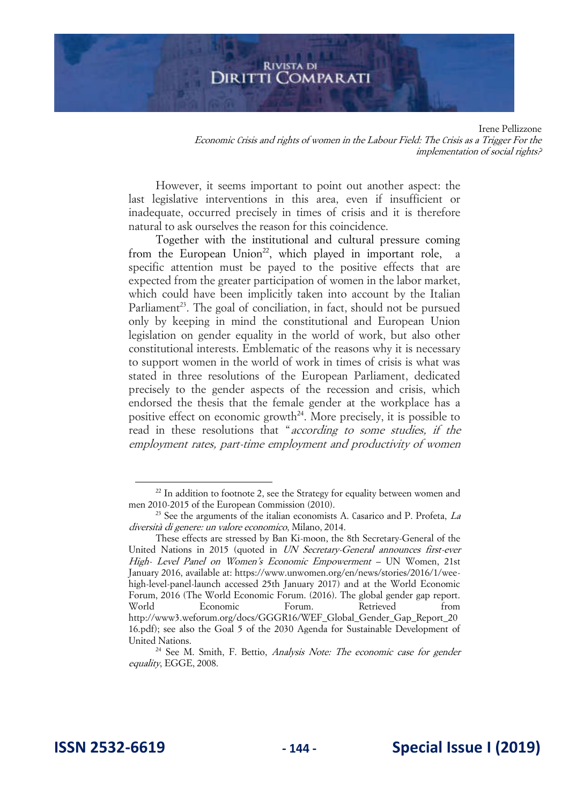Irene Pellizzone Economic Crisis and rights of women in the Labour Field: The Crisis as a Trigger For the implementation of social rights?

However, it seems important to point out another aspect: the last legislative interventions in this area, even if insufficient or inadequate, occurred precisely in times of crisis and it is therefore natural to ask ourselves the reason for this coincidence.

Together with the institutional and cultural pressure coming from the European Union<sup>22</sup>, which played in important role, a specific attention must be payed to the positive effects that are expected from the greater participation of women in the labor market, which could have been implicitly taken into account by the Italian Parliament<sup>23</sup>. The goal of conciliation, in fact, should not be pursued only by keeping in mind the constitutional and European Union legislation on gender equality in the world of work, but also other constitutional interests. Emblematic of the reasons why it is necessary to support women in the world of work in times of crisis is what was stated in three resolutions of the European Parliament, dedicated precisely to the gender aspects of the recession and crisis, which endorsed the thesis that the female gender at the workplace has a positive effect on economic growth<sup>24</sup>. More precisely, it is possible to read in these resolutions that "according to some studies, if the employment rates, part-time employment and productivity of women

 $22$  In addition to footnote 2, see the Strategy for equality between women and men 2010-2015 of the European Commission (2010).

<sup>&</sup>lt;sup>23</sup> See the arguments of the italian economists A. Casarico and P. Profeta,  $La$ diversità di genere: un valore economico, Milano, 2014.

These effects are stressed by Ban Ki-moon, the 8th Secretary-General of the United Nations in 2015 (quoted in UN Secretary-General announces first-ever High- Level Panel on Women's Economic Empowerment – UN Women, 21st January 2016, available at: https://www.unwomen.org/en/news/stories/2016/1/weehigh-level-panel-launch accessed 25th January 2017) and at the World Economic Forum, 2016 (The World Economic Forum. (2016). The global gender gap report. World Economic Forum. Retrieved from http://www3.weforum.org/docs/GGGR16/WEF\_Global\_Gender\_Gap\_Report\_20 16.pdf); see also the Goal 5 of the 2030 Agenda for Sustainable Development of United Nations.

<sup>&</sup>lt;sup>24</sup> See M. Smith, F. Bettio, Analysis Note: The economic case for gender equality, EGGE, 2008.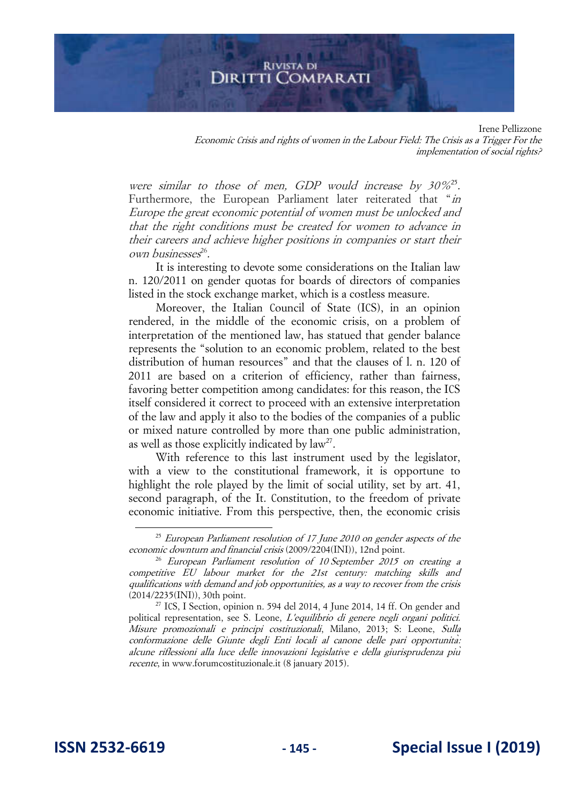Irene Pellizzone Economic Crisis and rights of women in the Labour Field: The Crisis as a Trigger For the implementation of social rights?

were similar to those of men, GDP would increase by  $30\%^{25}$ . Furthermore, the European Parliament later reiterated that "in Europe the great economic potential of women must be unlocked and that the right conditions must be created for women to advance in their careers and achieve higher positions in companies or start their own businesses 26 .

It is interesting to devote some considerations on the Italian law n. 120/2011 on gender quotas for boards of directors of companies listed in the stock exchange market, which is a costless measure.

Moreover, the Italian Council of State (ICS), in an opinion rendered, in the middle of the economic crisis, on a problem of interpretation of the mentioned law, has statued that gender balance represents the "solution to an economic problem, related to the best distribution of human resources" and that the clauses of l. n. 120 of 2011 are based on a criterion of efficiency, rather than fairness, favoring better competition among candidates: for this reason, the ICS itself considered it correct to proceed with an extensive interpretation of the law and apply it also to the bodies of the companies of a public or mixed nature controlled by more than one public administration, as well as those explicitly indicated by  $law^{27}$ .

With reference to this last instrument used by the legislator, with a view to the constitutional framework, it is opportune to highlight the role played by the limit of social utility, set by art. 41, second paragraph, of the It. Constitution, to the freedom of private economic initiative. From this perspective, then, the economic crisis

 $25$  European Parliament resolution of 17 June 2010 on gender aspects of the economic downturn and financial crisis (2009/2204(INI)), 12nd point.

 $26$  European Parliament resolution of 10 September 2015 on creating a competitive EU labour market for the 21st century: matching skills and qualifications with demand and job opportunities, as a way to recover from the crisis (2014/2235(INI)), 30th point.

 $27$  ICS, I Section, opinion n. 594 del 2014, 4 June 2014, 14 ff. On gender and political representation, see S. Leone, L'equilibrio di genere negli organi politici. Misure promozionali e principi costituzionali, Milano, 2013; S: Leone, Sulla conformazione delle Giunte degli Enti locali al canone delle pari opportunita*̀*: alcune riflessioni alla luce delle innovazioni legislative e della giurisprudenza piu*̀* recente, in www.forumcostituzionale.it (8 january 2015).